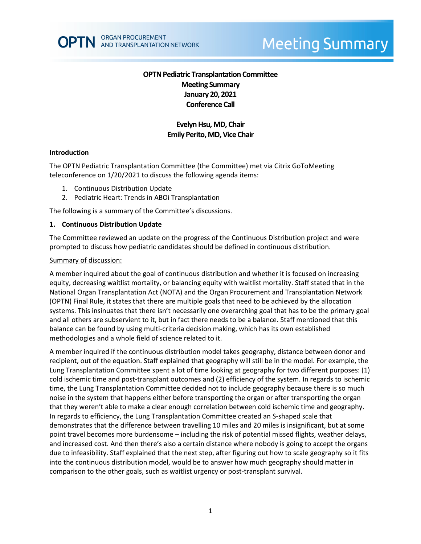# **OPTN Pediatric Transplantation Committee Meeting Summary January 20, 2021 Conference Call**

# **Evelyn Hsu, MD, Chair Emily Perito, MD, Vice Chair**

#### **Introduction**

The OPTN Pediatric Transplantation Committee (the Committee) met via Citrix GoToMeeting teleconference on 1/20/2021 to discuss the following agenda items:

- 1. Continuous Distribution Update
- 2. Pediatric Heart: Trends in ABOi Transplantation

The following is a summary of the Committee's discussions.

#### **1. Continuous Distribution Update**

The Committee reviewed an update on the progress of the Continuous Distribution project and were prompted to discuss how pediatric candidates should be defined in continuous distribution.

#### Summary of discussion:

A member inquired about the goal of continuous distribution and whether it is focused on increasing equity, decreasing waitlist mortality, or balancing equity with waitlist mortality. Staff stated that in the National Organ Transplantation Act (NOTA) and the Organ Procurement and Transplantation Network (OPTN) Final Rule, it states that there are multiple goals that need to be achieved by the allocation systems. This insinuates that there isn't necessarily one overarching goal that has to be the primary goal and all others are subservient to it, but in fact there needs to be a balance. Staff mentioned that this balance can be found by using multi-criteria decision making, which has its own established methodologies and a whole field of science related to it.

A member inquired if the continuous distribution model takes geography, distance between donor and recipient, out of the equation. Staff explained that geography will still be in the model. For example, the Lung Transplantation Committee spent a lot of time looking at geography for two different purposes: (1) cold ischemic time and post-transplant outcomes and (2) efficiency of the system. In regards to ischemic time, the Lung Transplantation Committee decided not to include geography because there is so much noise in the system that happens either before transporting the organ or after transporting the organ that they weren't able to make a clear enough correlation between cold ischemic time and geography. In regards to efficiency, the Lung Transplantation Committee created an S-shaped scale that demonstrates that the difference between travelling 10 miles and 20 miles is insignificant, but at some point travel becomes more burdensome – including the risk of potential missed flights, weather delays, and increased cost. And then there's also a certain distance where nobody is going to accept the organs due to infeasibility. Staff explained that the next step, after figuring out how to scale geography so it fits into the continuous distribution model, would be to answer how much geography should matter in comparison to the other goals, such as waitlist urgency or post-transplant survival.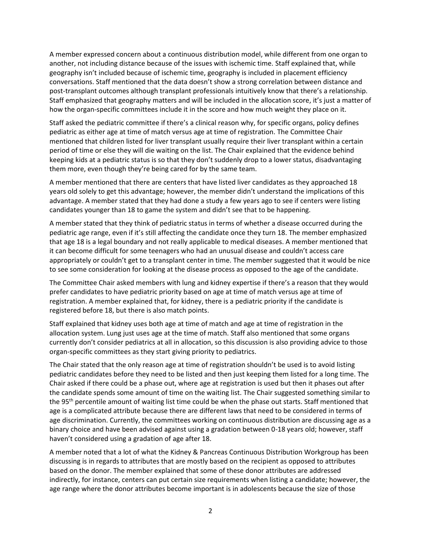A member expressed concern about a continuous distribution model, while different from one organ to another, not including distance because of the issues with ischemic time. Staff explained that, while geography isn't included because of ischemic time, geography is included in placement efficiency conversations. Staff mentioned that the data doesn't show a strong correlation between distance and post-transplant outcomes although transplant professionals intuitively know that there's a relationship. Staff emphasized that geography matters and will be included in the allocation score, it's just a matter of how the organ-specific committees include it in the score and how much weight they place on it.

Staff asked the pediatric committee if there's a clinical reason why, for specific organs, policy defines pediatric as either age at time of match versus age at time of registration. The Committee Chair mentioned that children listed for liver transplant usually require their liver transplant within a certain period of time or else they will die waiting on the list. The Chair explained that the evidence behind keeping kids at a pediatric status is so that they don't suddenly drop to a lower status, disadvantaging them more, even though they're being cared for by the same team.

A member mentioned that there are centers that have listed liver candidates as they approached 18 years old solely to get this advantage; however, the member didn't understand the implications of this advantage. A member stated that they had done a study a few years ago to see if centers were listing candidates younger than 18 to game the system and didn't see that to be happening.

A member stated that they think of pediatric status in terms of whether a disease occurred during the pediatric age range, even if it's still affecting the candidate once they turn 18. The member emphasized that age 18 is a legal boundary and not really applicable to medical diseases. A member mentioned that it can become difficult for some teenagers who had an unusual disease and couldn't access care appropriately or couldn't get to a transplant center in time. The member suggested that it would be nice to see some consideration for looking at the disease process as opposed to the age of the candidate.

The Committee Chair asked members with lung and kidney expertise if there's a reason that they would prefer candidates to have pediatric priority based on age at time of match versus age at time of registration. A member explained that, for kidney, there is a pediatric priority if the candidate is registered before 18, but there is also match points.

Staff explained that kidney uses both age at time of match and age at time of registration in the allocation system. Lung just uses age at the time of match. Staff also mentioned that some organs currently don't consider pediatrics at all in allocation, so this discussion is also providing advice to those organ-specific committees as they start giving priority to pediatrics.

The Chair stated that the only reason age at time of registration shouldn't be used is to avoid listing pediatric candidates before they need to be listed and then just keeping them listed for a long time. The Chair asked if there could be a phase out, where age at registration is used but then it phases out after the candidate spends some amount of time on the waiting list. The Chair suggested something similar to the 95th percentile amount of waiting list time could be when the phase out starts. Staff mentioned that age is a complicated attribute because there are different laws that need to be considered in terms of age discrimination. Currently, the committees working on continuous distribution are discussing age as a binary choice and have been advised against using a gradation between 0-18 years old; however, staff haven't considered using a gradation of age after 18.

A member noted that a lot of what the Kidney & Pancreas Continuous Distribution Workgroup has been discussing is in regards to attributes that are mostly based on the recipient as opposed to attributes based on the donor. The member explained that some of these donor attributes are addressed indirectly, for instance, centers can put certain size requirements when listing a candidate; however, the age range where the donor attributes become important is in adolescents because the size of those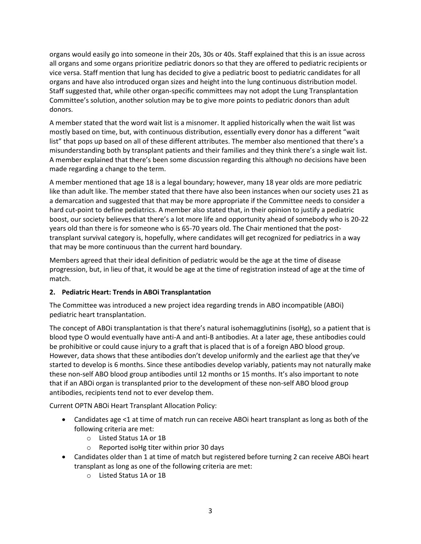organs would easily go into someone in their 20s, 30s or 40s. Staff explained that this is an issue across all organs and some organs prioritize pediatric donors so that they are offered to pediatric recipients or vice versa. Staff mention that lung has decided to give a pediatric boost to pediatric candidates for all organs and have also introduced organ sizes and height into the lung continuous distribution model. Staff suggested that, while other organ-specific committees may not adopt the Lung Transplantation Committee's solution, another solution may be to give more points to pediatric donors than adult donors.

A member stated that the word wait list is a misnomer. It applied historically when the wait list was mostly based on time, but, with continuous distribution, essentially every donor has a different "wait list" that pops up based on all of these different attributes. The member also mentioned that there's a misunderstanding both by transplant patients and their families and they think there's a single wait list. A member explained that there's been some discussion regarding this although no decisions have been made regarding a change to the term.

A member mentioned that age 18 is a legal boundary; however, many 18 year olds are more pediatric like than adult like. The member stated that there have also been instances when our society uses 21 as a demarcation and suggested that that may be more appropriate if the Committee needs to consider a hard cut-point to define pediatrics. A member also stated that, in their opinion to justify a pediatric boost, our society believes that there's a lot more life and opportunity ahead of somebody who is 20-22 years old than there is for someone who is 65-70 years old. The Chair mentioned that the posttransplant survival category is, hopefully, where candidates will get recognized for pediatrics in a way that may be more continuous than the current hard boundary.

Members agreed that their ideal definition of pediatric would be the age at the time of disease progression, but, in lieu of that, it would be age at the time of registration instead of age at the time of match.

## **2. Pediatric Heart: Trends in ABOi Transplantation**

The Committee was introduced a new project idea regarding trends in ABO incompatible (ABOi) pediatric heart transplantation.

The concept of ABOi transplantation is that there's natural isohemagglutinins (isoHg), so a patient that is blood type O would eventually have anti-A and anti-B antibodies. At a later age, these antibodies could be prohibitive or could cause injury to a graft that is placed that is of a foreign ABO blood group. However, data shows that these antibodies don't develop uniformly and the earliest age that they've started to develop is 6 months. Since these antibodies develop variably, patients may not naturally make these non-self ABO blood group antibodies until 12 months or 15 months. It's also important to note that if an ABOi organ is transplanted prior to the development of these non-self ABO blood group antibodies, recipients tend not to ever develop them.

Current OPTN ABOi Heart Transplant Allocation Policy:

- Candidates age <1 at time of match run can receive ABOi heart transplant as long as both of the following criteria are met:
	- o Listed Status 1A or 1B
	- o Reported isoHg titer within prior 30 days
- Candidates older than 1 at time of match but registered before turning 2 can receive ABOi heart transplant as long as one of the following criteria are met:
	- o Listed Status 1A or 1B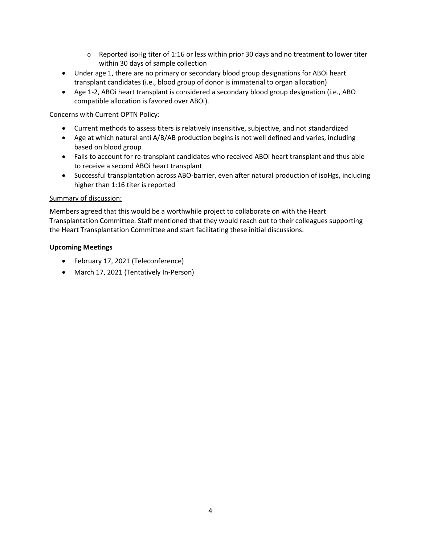- $\circ$  Reported isoHg titer of 1:16 or less within prior 30 days and no treatment to lower titer within 30 days of sample collection
- Under age 1, there are no primary or secondary blood group designations for ABOi heart transplant candidates (i.e., blood group of donor is immaterial to organ allocation)
- Age 1-2, ABOi heart transplant is considered a secondary blood group designation (i.e., ABO compatible allocation is favored over ABOi).

Concerns with Current OPTN Policy:

- Current methods to assess titers is relatively insensitive, subjective, and not standardized
- Age at which natural anti A/B/AB production begins is not well defined and varies, including based on blood group
- Fails to account for re-transplant candidates who received ABOi heart transplant and thus able to receive a second ABOi heart transplant
- Successful transplantation across ABO-barrier, even after natural production of isoHgs, including higher than 1:16 titer is reported

## Summary of discussion:

Members agreed that this would be a worthwhile project to collaborate on with the Heart Transplantation Committee. Staff mentioned that they would reach out to their colleagues supporting the Heart Transplantation Committee and start facilitating these initial discussions.

# **Upcoming Meetings**

- February 17, 2021 (Teleconference)
- March 17, 2021 (Tentatively In-Person)